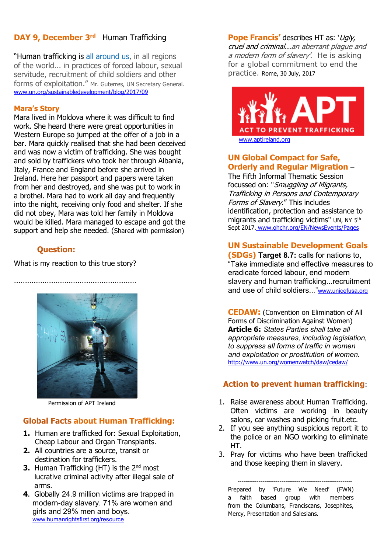### **DAY 9, December 3rd Human Trafficking**

"Human trafficking is [all around us,](https://www.un.org/sg/en/content/sg/statement/2017-09-27/secretary-generals-remarks-high-level-meeting-general-assembly) in all regions of the world... in practices of forced labour, sexual servitude, recruitment of child soldiers and other forms of exploitation." Mr. Guterres, UN Secretary General. [www.un.org/sustainabledevelopment/blog/2017/09](http://www.un.org/sustainabledevelopment/blog/2017/09)

#### **Mara's Story**

Mara lived in Moldova where it was difficult to find work. She heard there were great opportunities in Western Europe so jumped at the offer of a job in a bar. Mara quickly realised that she had been deceived and was now a victim of trafficking. She was bought and sold by traffickers who took her through Albania, Italy, France and England before she arrived in Ireland. Here her passport and papers were taken from her and destroyed, and she was put to work in a brothel. Mara had to work all day and frequently into the night, receiving only food and shelter. If she did not obey, Mara was told her family in Moldova would be killed. Mara managed to escape and got the support and help she needed. (Shared with permission)

#### **Question:**

What is my reaction to this true story?

........................................................



Permission of APT Ireland

### **Global Facts about Human Trafficking:**

- **1.** Human are trafficked for: Sexual Exploitation, Cheap Labour and Organ Transplants.
- **2.** All countries are a source, transit or destination for traffickers.
- **3.** Human Trafficking (HT) is the 2<sup>nd</sup> most lucrative criminal activity after illegal sale of arms.
- **4**. Globally 24.9 million victims are trapped in modern-day slavery. 71% are women and girls and 29% men and boys. [www.humanrightsfirst.org/resource](http://www.humanrightsfirst.org/resource)

**Pope Francis'** describes HT as: 'Ugly, cruel and criminal...an aberrant plague and a modern form of slavery'. He is asking for a global commitment to end the practice. Rome, 30 July, 2017



#### **UN Global Compact for Safe, Orderly and Regular Migration** –

The Fifth Informal Thematic Session focussed on: "Smuggling of Migrants, Trafficking in Persons and Contemporary Forms of Slavery." This includes identification, protection and assistance to migrants and trafficking victims" UN, NY 5th Sept 2017. www.ohchr.org/EN/NewsEvents/Pages

#### **UN Sustainable Development Goals**

**(SDGs) Target 8.7:** calls for nations to, "Take immediate and effective measures to eradicate forced labour, end modern slavery and human trafficking...recruitment and use of child soldiers...["www.unicefusa.org](http://www.unicefusa.org/)

**CEDAW:** (Convention on Elimination of All Forms of Discrimination Against Women) **Article 6:** *States Parties shall take all appropriate measures, including legislation, to suppress all forms of traffic in women and exploitation or prostitution of women.* <http://www.un.org/womenwatch/daw/cedaw/>

### **Action to prevent human trafficking**:

- 1. Raise awareness about Human Trafficking. Often victims are working in beauty salons, car washes and picking fruit.etc.
- 2. If you see anything suspicious report it to the police or an NGO working to eliminate HT.
- 3. Pray for victims who have been trafficked and those keeping them in slavery.

------------------------------------------------------------ Prepared by 'Future We Need' (FWN) a faith based group with members from the Columbans, Franciscans, Josephites, Mercy, Presentation and Salesians.